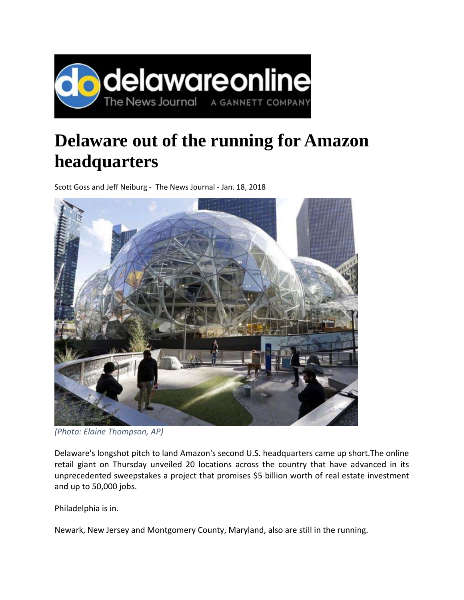

## **Delaware out of the running for Amazon headquarters**

Scott Goss and Jeff Neiburg ‐ The News Journal ‐ Jan. 18, 2018



*(Photo: Elaine Thompson, AP)*

Delaware's longshot pitch to land Amazon's second U.S. headquarters came up short.The online retail giant on Thursday unveiled 20 locations across the country that have advanced in its unprecedented sweepstakes a project that promises \$5 billion worth of real estate investment and up to 50,000 jobs.

Philadelphia is in.

Newark, New Jersey and Montgomery County, Maryland, also are still in the running.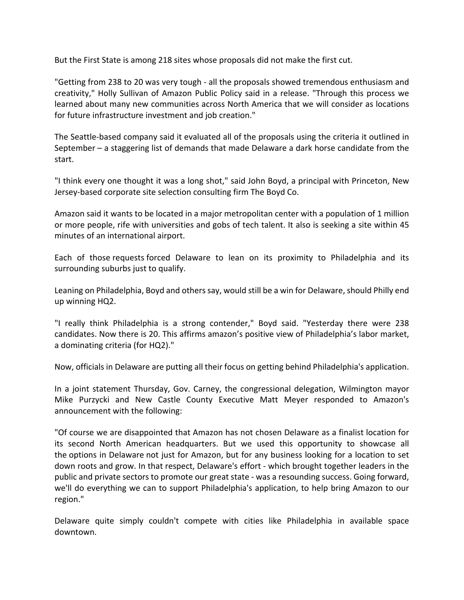But the First State is among 218 sites whose proposals did not make the first cut.

"Getting from 238 to 20 was very tough ‐ all the proposals showed tremendous enthusiasm and creativity," Holly Sullivan of Amazon Public Policy said in a release. "Through this process we learned about many new communities across North America that we will consider as locations for future infrastructure investment and job creation."

The Seattle‐based company said it evaluated all of the proposals using the criteria it outlined in September – a staggering list of demands that made Delaware a dark horse candidate from the start.

"I think every one thought it was a long shot," said John Boyd, a principal with Princeton, New Jersey‐based corporate site selection consulting firm The Boyd Co.

Amazon said it wants to be located in a major metropolitan center with a population of 1 million or more people, rife with universities and gobs of tech talent. It also is seeking a site within 45 minutes of an international airport.

Each of those requests forced Delaware to lean on its proximity to Philadelphia and its surrounding suburbs just to qualify.

Leaning on Philadelphia, Boyd and others say, would still be a win for Delaware, should Philly end up winning HQ2.

"I really think Philadelphia is a strong contender," Boyd said. "Yesterday there were 238 candidates. Now there is 20. This affirms amazon's positive view of Philadelphia's labor market, a dominating criteria (for HQ2)."

Now, officials in Delaware are putting all their focus on getting behind Philadelphia's application.

In a joint statement Thursday, Gov. Carney, the congressional delegation, Wilmington mayor Mike Purzycki and New Castle County Executive Matt Meyer responded to Amazon's announcement with the following:

"Of course we are disappointed that Amazon has not chosen Delaware as a finalist location for its second North American headquarters. But we used this opportunity to showcase all the options in Delaware not just for Amazon, but for any business looking for a location to set down roots and grow. In that respect, Delaware's effort ‐ which brought together leaders in the public and private sectors to promote our great state ‐ was a resounding success. Going forward, we'll do everything we can to support Philadelphia's application, to help bring Amazon to our region."

Delaware quite simply couldn't compete with cities like Philadelphia in available space downtown.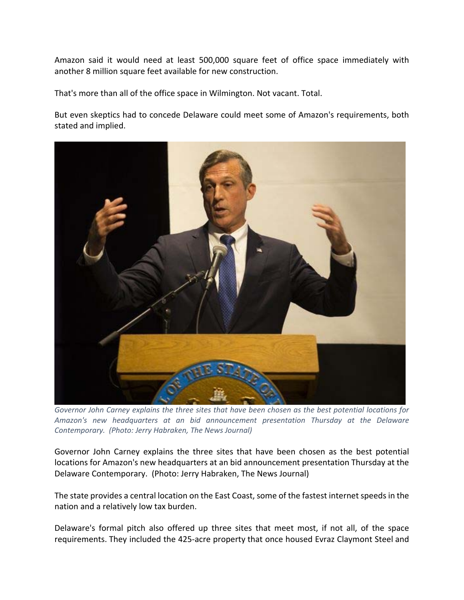Amazon said it would need at least 500,000 square feet of office space immediately with another 8 million square feet available for new construction.

That's more than all of the office space in Wilmington. Not vacant. Total.

But even skeptics had to concede Delaware could meet some of Amazon's requirements, both stated and implied.



*Governor John Carney explains the three sites that have been chosen as the best potential locations for Amazon's new headquarters at an bid announcement presentation Thursday at the Delaware Contemporary. (Photo: Jerry Habraken, The News Journal)*

Governor John Carney explains the three sites that have been chosen as the best potential locations for Amazon's new headquarters at an bid announcement presentation Thursday at the Delaware Contemporary. (Photo: Jerry Habraken, The News Journal)

The state provides a central location on the East Coast, some of the fastest internet speeds in the nation and a relatively low tax burden.

Delaware's formal pitch also offered up three sites that meet most, if not all, of the space requirements. They included the 425‐acre property that once housed Evraz Claymont Steel and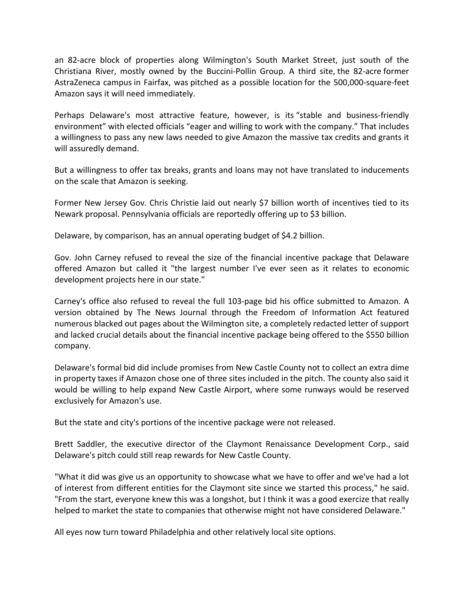an 82‐acre block of properties along Wilmington's South Market Street, just south of the Christiana River, mostly owned by the Buccini‐Pollin Group. A third site, the 82‐acre former AstraZeneca campus in Fairfax, was pitched as a possible location for the 500,000‐square‐feet Amazon says it will need immediately.

Perhaps Delaware's most attractive feature, however, is its "stable and business-friendly environment" with elected officials "eager and willing to work with the company." That includes a willingness to pass any new laws needed to give Amazon the massive tax credits and grants it will assuredly demand.

But a willingness to offer tax breaks, grants and loans may not have translated to inducements on the scale that Amazon is seeking.

Former New Jersey Gov. Chris Christie laid out nearly \$7 billion worth of incentives tied to its Newark proposal. Pennsylvania officials are reportedly offering up to \$3 billion.

Delaware, by comparison, has an annual operating budget of \$4.2 billion.

Gov. John Carney refused to reveal the size of the financial incentive package that Delaware offered Amazon but called it "the largest number I've ever seen as it relates to economic development projects here in our state."

Carney's office also refused to reveal the full 103‐page bid his office submitted to Amazon. A version obtained by The News Journal through the Freedom of Information Act featured numerous blacked out pages about the Wilmington site, a completely redacted letter of support and lacked crucial details about the financial incentive package being offered to the \$550 billion company.

Delaware's formal bid did include promises from New Castle County not to collect an extra dime in property taxes if Amazon chose one of three sites included in the pitch. The county also said it would be willing to help expand New Castle Airport, where some runways would be reserved exclusively for Amazon's use.

But the state and city's portions of the incentive package were not released.

Brett Saddler, the executive director of the Claymont Renaissance Development Corp., said Delaware's pitch could still reap rewards for New Castle County.

"What it did was give us an opportunity to showcase what we have to offer and we've had a lot of interest from different entities for the Claymont site since we started this process," he said. "From the start, everyone knew this was a longshot, but I think it was a good exercize that really helped to market the state to companies that otherwise might not have considered Delaware."

All eyes now turn toward Philadelphia and other relatively local site options.